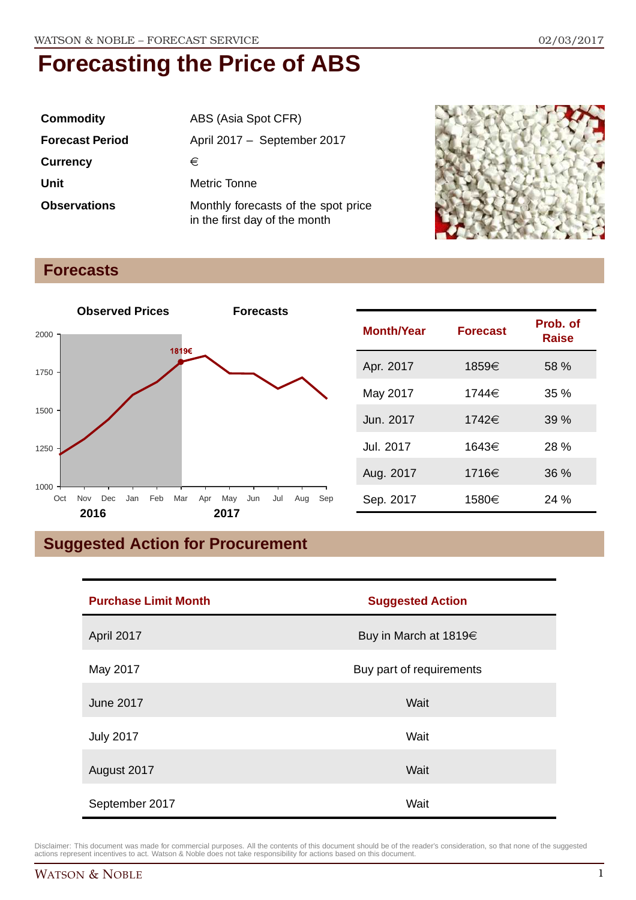| <b>Commodity</b>       | ABS (Asia Spot CFR)                                                  |  |
|------------------------|----------------------------------------------------------------------|--|
| <b>Forecast Period</b> | April 2017 - September 2017                                          |  |
| <b>Currency</b>        | €                                                                    |  |
| Unit                   | <b>Metric Tonne</b>                                                  |  |
| <b>Observations</b>    | Monthly forecasts of the spot price<br>in the first day of the month |  |



### **Forecasts**



| <b>Month/Year</b> | <b>Forecast</b> | Prob. of<br><b>Raise</b> |
|-------------------|-----------------|--------------------------|
| Apr. 2017         | 1859€           | 58 %                     |
| May 2017          | 1744€           | 35%                      |
| Jun. 2017         | 1742€           | 39%                      |
| Jul. 2017         | 1643€           | 28%                      |
| Aug. 2017         | 1716€           | 36%                      |
| Sep. 2017         | 1580€           | 24 %                     |

## **Suggested Action for Procurement**

| <b>Purchase Limit Month</b> | <b>Suggested Action</b>    |  |
|-----------------------------|----------------------------|--|
| April 2017                  | Buy in March at $1819 \in$ |  |
| May 2017                    | Buy part of requirements   |  |
| June 2017                   | Wait                       |  |
| <b>July 2017</b>            | Wait                       |  |
| August 2017                 | Wait                       |  |
| September 2017              | Wait                       |  |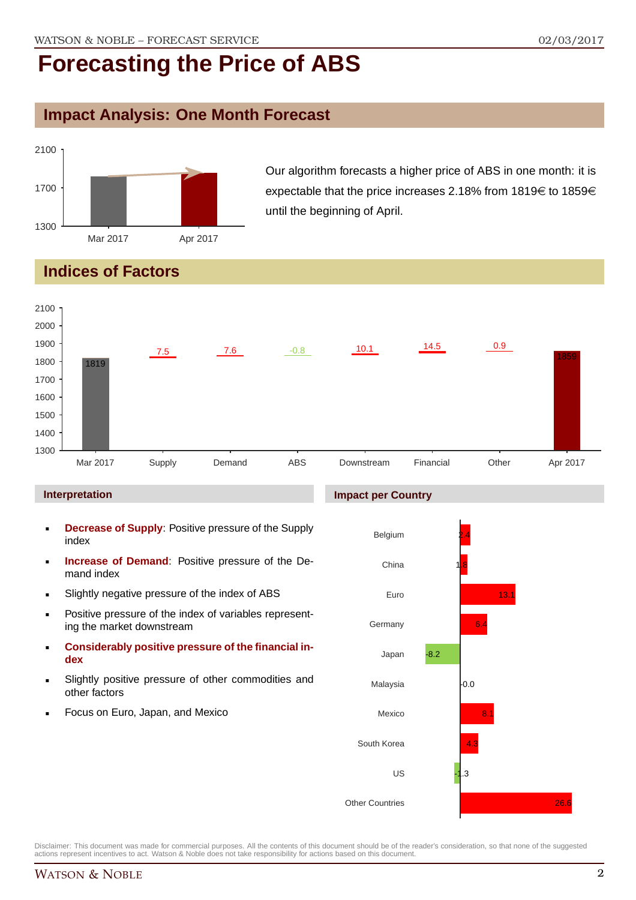### **Impact Analysis: One Month Forecast**



Our algorithm forecasts a higher price of ABS in one month: it is expectable that the price increases 2.18% from 1819 $\in$  to 1859 $\in$ until the beginning of April.

## **Indices of Factors**



#### **Interpretation**

- **Decrease of Supply**: Positive pressure of the Supply index
- **Increase of Demand**: Positive pressure of the Demand index
- Slightly negative pressure of the index of ABS
- **Positive pressure of the index of variables represent**ing the market downstream
- **Considerably positive pressure of the financial index**
- Slightly positive pressure of other commodities and other factors
- Focus on Euro, Japan, and Mexico

#### **Impact per Country**

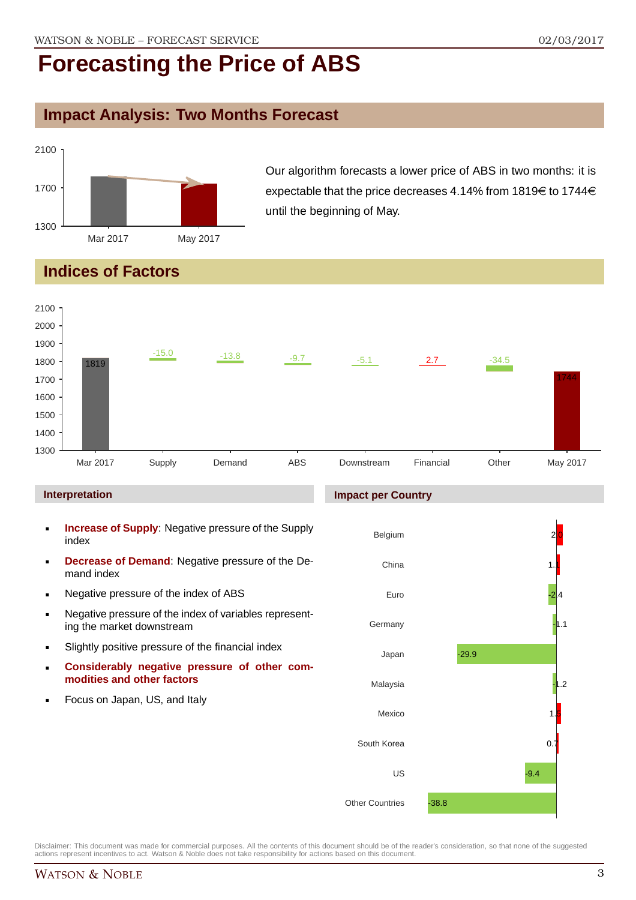## **Impact Analysis: Two Months Forecast**



Our algorithm forecasts a lower price of ABS in two months: it is expectable that the price decreases 4.14% from 1819 $\in$  to 1744 $\in$ until the beginning of May.

## **Indices of Factors**



#### **Interpretation**

- **Increase of Supply**: Negative pressure of the Supply index
- **Decrease of Demand**: Negative pressure of the Demand index
- **Negative pressure of the index of ABS**
- Negative pressure of the index of variables representing the market downstream
- Slightly positive pressure of the financial index
- **Considerably negative pressure of other commodities and other factors**
- Focus on Japan, US, and Italy

#### **Impact per Country**

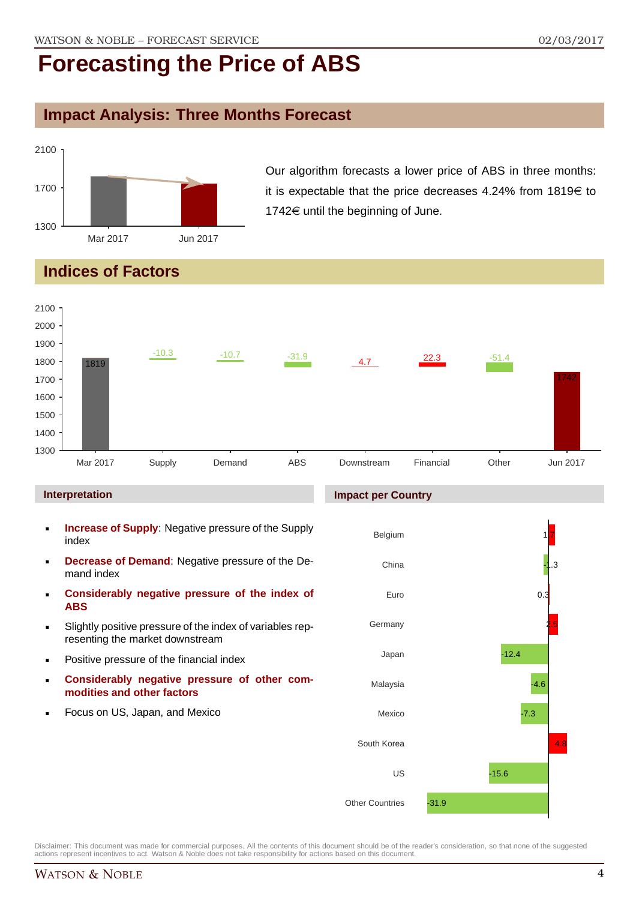## **Impact Analysis: Three Months Forecast**



Our algorithm forecasts a lower price of ABS in three months: it is expectable that the price decreases 4.24% from  $1819 \in$  to  $1742 \in$  until the beginning of June.

## **Indices of Factors**



- index **Decrease of Demand**: Negative pressure of the De-
- mand index **Considerably negative pressure of the index of ABS**
- Slightly positive pressure of the index of variables representing the market downstream
- Positive pressure of the financial index
- **Considerably negative pressure of other commodities and other factors**
- Focus on US, Japan, and Mexico

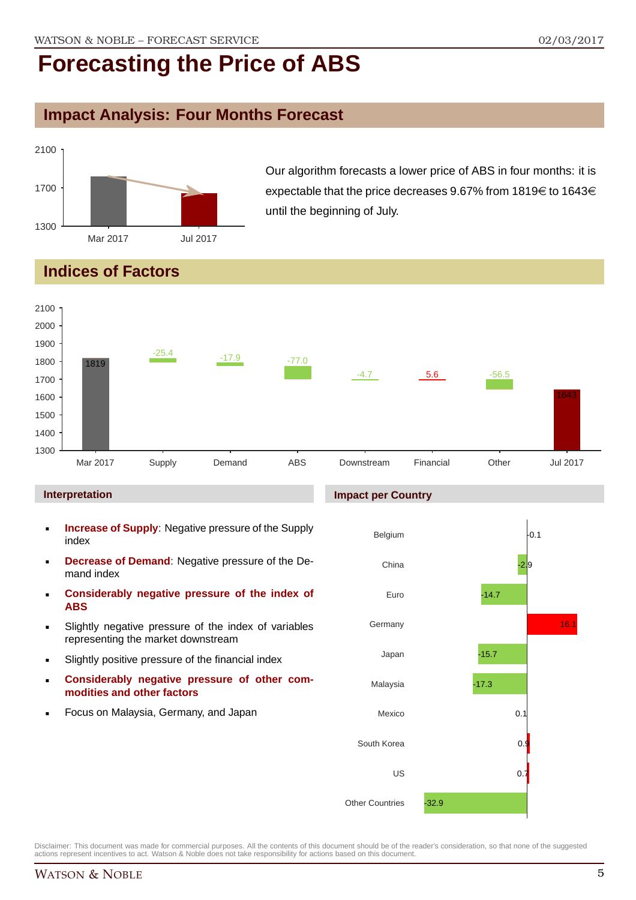## **Impact Analysis: Four Months Forecast**



Our algorithm forecasts a lower price of ABS in four months: it is expectable that the price decreases 9.67% from 1819 $\in$  to 1643 $\in$ until the beginning of July.

## **Indices of Factors**



#### **Interpretation**

- **Increase of Supply**: Negative pressure of the Supply index
- **Decrease of Demand**: Negative pressure of the Demand index
- **Considerably negative pressure of the index of ABS**
- Slightly negative pressure of the index of variables representing the market downstream
- Slightly positive pressure of the financial index
- **Considerably negative pressure of other commodities and other factors**
- Focus on Malaysia, Germany, and Japan

#### **Impact per Country**

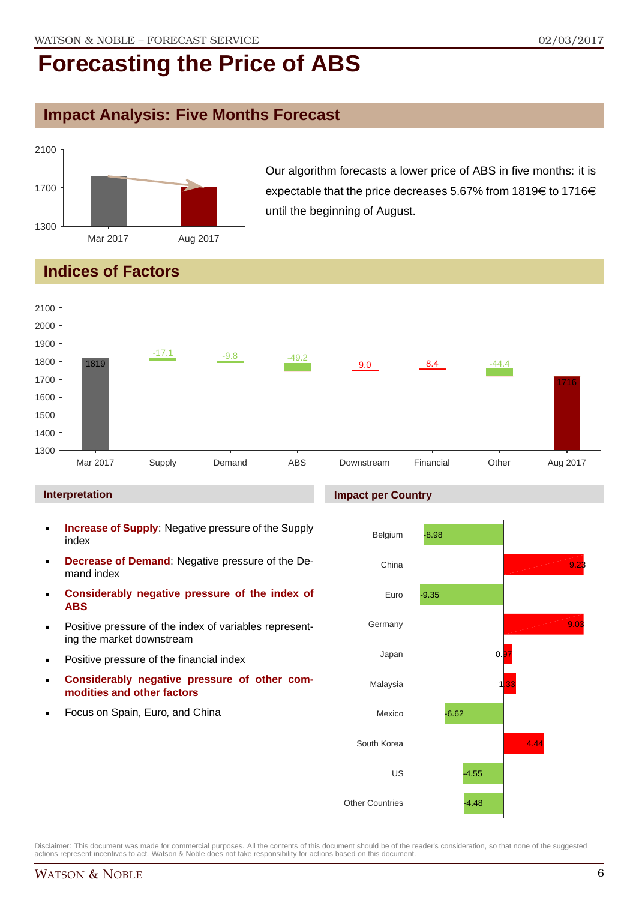## **Impact Analysis: Five Months Forecast**



Our algorithm forecasts a lower price of ABS in five months: it is expectable that the price decreases 5.67% from 1819 $\in$  to 1716 $\in$ until the beginning of August.

## **Indices of Factors**



#### **Interpretation**

- **Increase of Supply**: Negative pressure of the Supply index
- **Decrease of Demand**: Negative pressure of the Demand index
- **Considerably negative pressure of the index of ABS**
- Positive pressure of the index of variables representing the market downstream
- Positive pressure of the financial index
- **Considerably negative pressure of other commodities and other factors**
- Focus on Spain, Euro, and China

#### **Impact per Country**

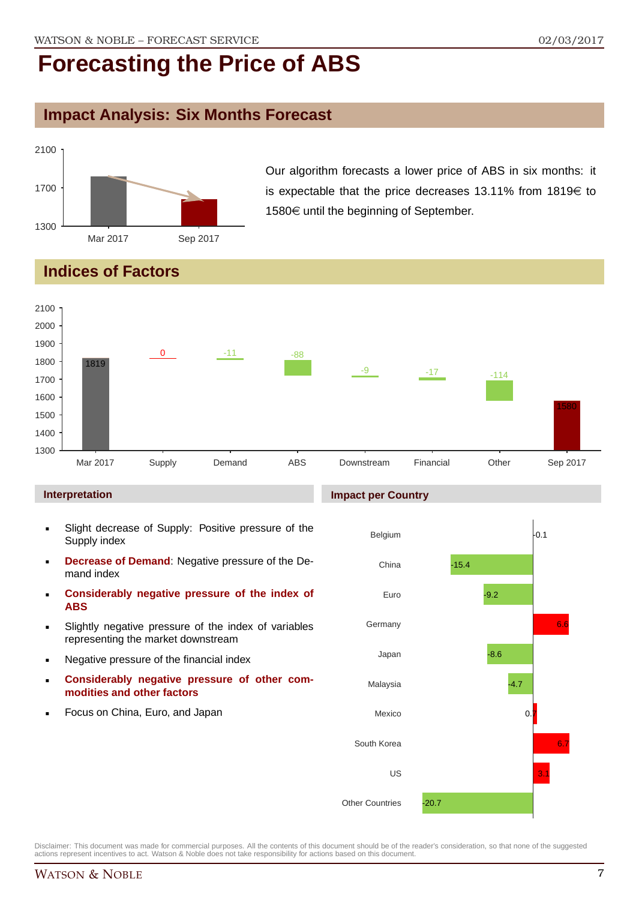## **Impact Analysis: Six Months Forecast**



Our algorithm forecasts a lower price of ABS in six months: it is expectable that the price decreases 13.11% from 1819 $\in$  to  $1580 \in \mathsf{until}$  the beginning of September.

## **Indices of Factors**



#### **Interpretation**

- Slight decrease of Supply: Positive pressure of the Supply index
- **Decrease of Demand**: Negative pressure of the Demand index
- **Considerably negative pressure of the index of ABS**
- Slightly negative pressure of the index of variables representing the market downstream
- Negative pressure of the financial index
- **Considerably negative pressure of other commodities and other factors**
- Focus on China, Euro, and Japan

#### **Impact per Country**

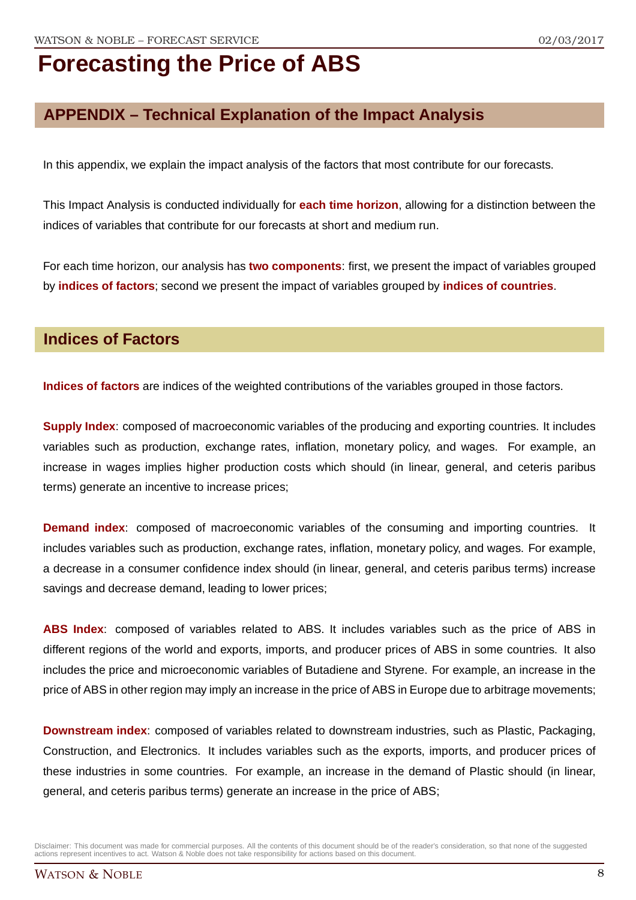## **APPENDIX – Technical Explanation of the Impact Analysis**

In this appendix, we explain the impact analysis of the factors that most contribute for our forecasts.

This Impact Analysis is conducted individually for **each time horizon**, allowing for a distinction between the indices of variables that contribute for our forecasts at short and medium run.

For each time horizon, our analysis has **two components**: first, we present the impact of variables grouped by **indices of factors**; second we present the impact of variables grouped by **indices of countries**.

### **Indices of Factors**

**Indices of factors** are indices of the weighted contributions of the variables grouped in those factors.

**Supply Index**: composed of macroeconomic variables of the producing and exporting countries. It includes variables such as production, exchange rates, inflation, monetary policy, and wages. For example, an increase in wages implies higher production costs which should (in linear, general, and ceteris paribus terms) generate an incentive to increase prices;

**Demand index**: composed of macroeconomic variables of the consuming and importing countries. It includes variables such as production, exchange rates, inflation, monetary policy, and wages. For example, a decrease in a consumer confidence index should (in linear, general, and ceteris paribus terms) increase savings and decrease demand, leading to lower prices;

**ABS Index**: composed of variables related to ABS. It includes variables such as the price of ABS in different regions of the world and exports, imports, and producer prices of ABS in some countries. It also includes the price and microeconomic variables of Butadiene and Styrene. For example, an increase in the price of ABS in other region may imply an increase in the price of ABS in Europe due to arbitrage movements;

**Downstream index**: composed of variables related to downstream industries, such as Plastic, Packaging, Construction, and Electronics. It includes variables such as the exports, imports, and producer prices of these industries in some countries. For example, an increase in the demand of Plastic should (in linear, general, and ceteris paribus terms) generate an increase in the price of ABS;